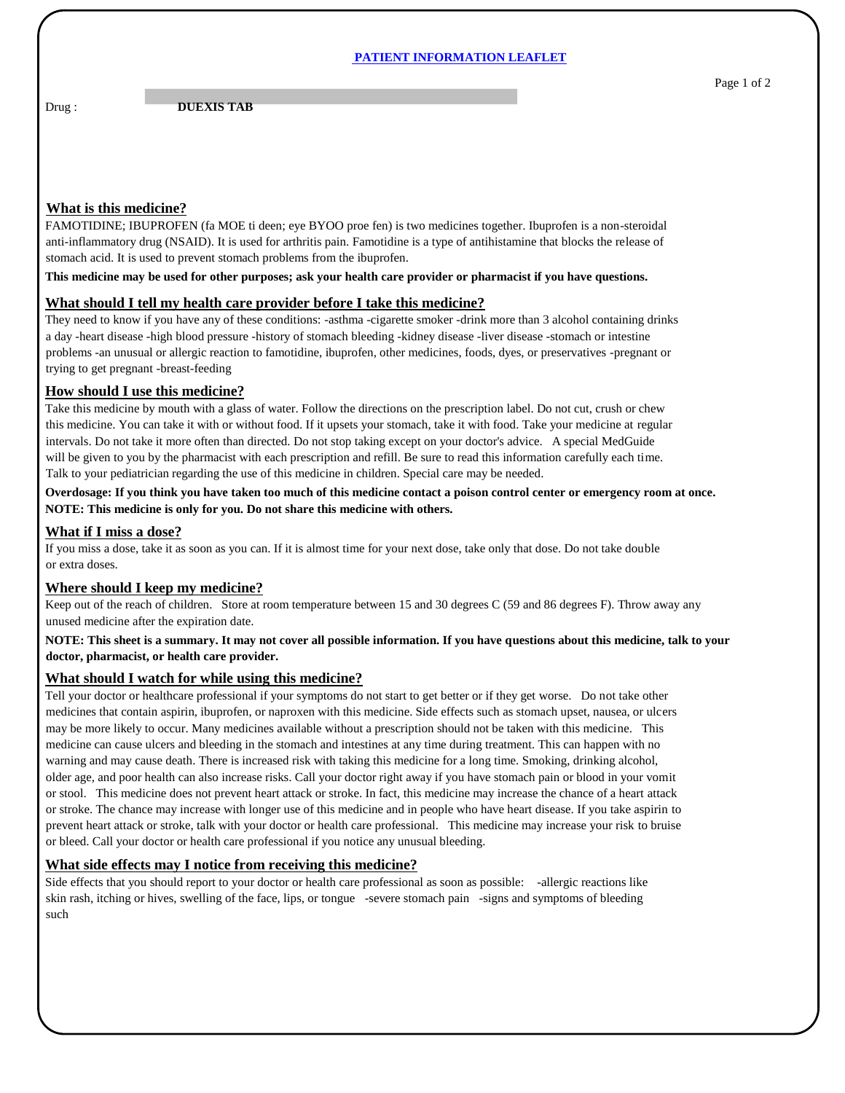#### **PATIENT INFORMATION LEAFLET**

Drug : **DUEXIS TAB** 

# **What is this medicine?**

FAMOTIDINE; IBUPROFEN (fa MOE ti deen; eye BYOO proe fen) is two medicines together. Ibuprofen is a non-steroidal anti-inflammatory drug (NSAID). It is used for arthritis pain. Famotidine is a type of antihistamine that blocks the release of stomach acid. It is used to prevent stomach problems from the ibuprofen.

**This medicine may be used for other purposes; ask your health care provider or pharmacist if you have questions.**

### **What should I tell my health care provider before I take this medicine?**

They need to know if you have any of these conditions: -asthma -cigarette smoker -drink more than 3 alcohol containing drinks a day -heart disease -high blood pressure -history of stomach bleeding -kidney disease -liver disease -stomach or intestine problems -an unusual or allergic reaction to famotidine, ibuprofen, other medicines, foods, dyes, or preservatives -pregnant or trying to get pregnant -breast-feeding

### **How should I use this medicine?**

Take this medicine by mouth with a glass of water. Follow the directions on the prescription label. Do not cut, crush or chew this medicine. You can take it with or without food. If it upsets your stomach, take it with food. Take your medicine at regular intervals. Do not take it more often than directed. Do not stop taking except on your doctor's advice. A special MedGuide will be given to you by the pharmacist with each prescription and refill. Be sure to read this information carefully each time. Talk to your pediatrician regarding the use of this medicine in children. Special care may be needed.

**Overdosage: If you think you have taken too much of this medicine contact a poison control center or emergency room at once. NOTE: This medicine is only for you. Do not share this medicine with others.**

### **What if I miss a dose?**

If you miss a dose, take it as soon as you can. If it is almost time for your next dose, take only that dose. Do not take double or extra doses.

# **Where should I keep my medicine?**

Keep out of the reach of children. Store at room temperature between 15 and 30 degrees C (59 and 86 degrees F). Throw away any unused medicine after the expiration date.

**NOTE: This sheet is a summary. It may not cover all possible information. If you have questions about this medicine, talk to your doctor, pharmacist, or health care provider.**

### **What should I watch for while using this medicine?**

Tell your doctor or healthcare professional if your symptoms do not start to get better or if they get worse. Do not take other medicines that contain aspirin, ibuprofen, or naproxen with this medicine. Side effects such as stomach upset, nausea, or ulcers may be more likely to occur. Many medicines available without a prescription should not be taken with this medicine. This medicine can cause ulcers and bleeding in the stomach and intestines at any time during treatment. This can happen with no warning and may cause death. There is increased risk with taking this medicine for a long time. Smoking, drinking alcohol, older age, and poor health can also increase risks. Call your doctor right away if you have stomach pain or blood in your vomit or stool. This medicine does not prevent heart attack or stroke. In fact, this medicine may increase the chance of a heart attack or stroke. The chance may increase with longer use of this medicine and in people who have heart disease. If you take aspirin to prevent heart attack or stroke, talk with your doctor or health care professional. This medicine may increase your risk to bruise or bleed. Call your doctor or health care professional if you notice any unusual bleeding.

# **What side effects may I notice from receiving this medicine?**

Side effects that you should report to your doctor or health care professional as soon as possible: -allergic reactions like skin rash, itching or hives, swelling of the face, lips, or tongue -severe stomach pain -signs and symptoms of bleeding such